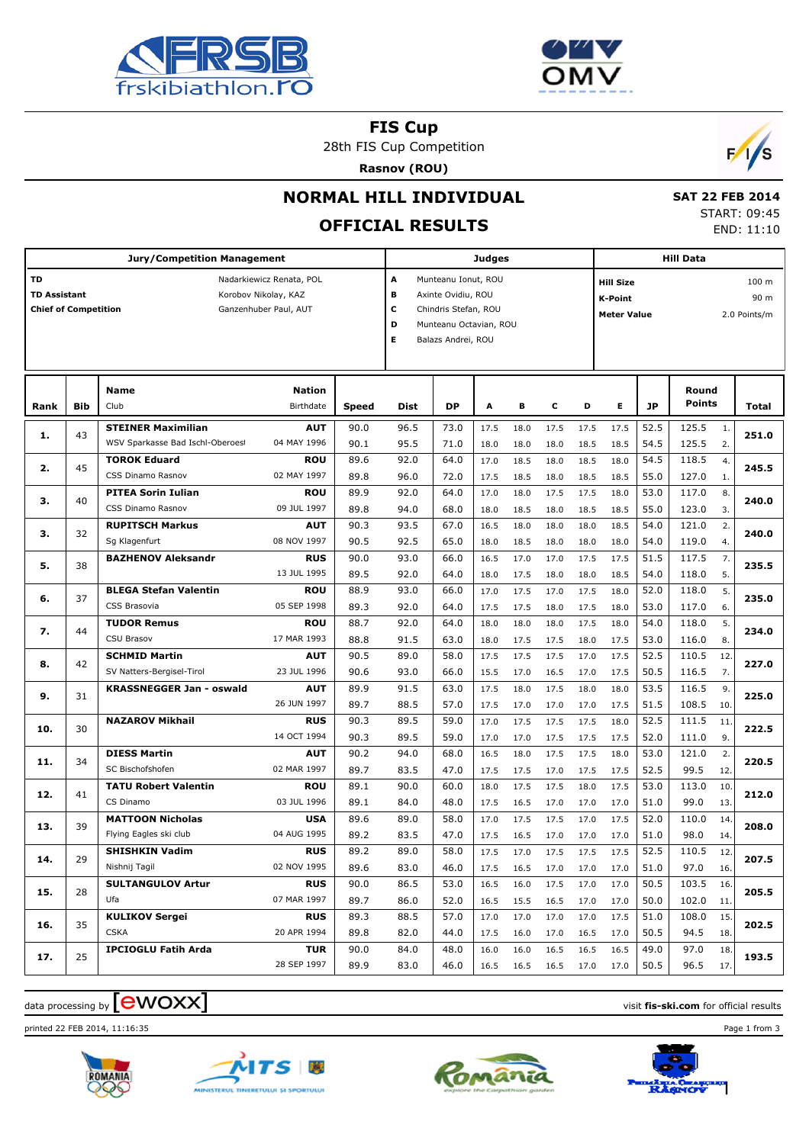



**FIS Cup**

28th FIS Cup Competition

**Rasnov (ROU)**



## **NORMAL HILL INDIVIDUAL**

# **OFFICIAL RESULTS**

 **SAT 22 FEB 2014** START: 09:45 END: 11:10

|                                                                                                                                       |            | <b>Jury/Competition Management</b>                            |                            | <b>Judges</b> |              |                                                                                                                                            |              |              |                | <b>Hill Data</b> |              |                    |                                          |       |  |
|---------------------------------------------------------------------------------------------------------------------------------------|------------|---------------------------------------------------------------|----------------------------|---------------|--------------|--------------------------------------------------------------------------------------------------------------------------------------------|--------------|--------------|----------------|------------------|--------------|--------------------|------------------------------------------|-------|--|
| TD<br>Nadarkiewicz Renata, POL<br><b>TD Assistant</b><br>Korobov Nikolay, KAZ<br><b>Chief of Competition</b><br>Ganzenhuber Paul, AUT |            |                                                               |                            |               |              | A<br>Munteanu Ionut, ROU<br>в<br>Axinte Ovidiu, ROU<br>c<br>Chindris Stefan, ROU<br>D<br>Munteanu Octavian, ROU<br>Е<br>Balazs Andrei, ROU |              |              |                |                  |              | <b>Meter Value</b> | 100 <sub>m</sub><br>90 m<br>2.0 Points/m |       |  |
| Rank                                                                                                                                  | <b>Bib</b> | <b>Name</b><br>Club                                           | <b>Nation</b><br>Birthdate | <b>Speed</b>  | <b>Dist</b>  | <b>DP</b>                                                                                                                                  | А            | в            | c              | D                | Е            | <b>JP</b>          | Round<br><b>Points</b>                   | Total |  |
| 1.                                                                                                                                    | 43         | <b>STEINER Maximilian</b><br>WSV Sparkasse Bad Ischl-Oberoest | <b>AUT</b><br>04 MAY 1996  | 90.0<br>90.1  | 96.5<br>95.5 | 73.0<br>71.0                                                                                                                               | 17.5<br>18.0 | 18.0<br>18.0 | 17.5<br>18.0   | 17.5<br>18.5     | 17.5<br>18.5 | 52.5<br>54.5       | 125.5<br>$\mathbf{1}$ .<br>125.5<br>2.   | 251.0 |  |
| 2.                                                                                                                                    | 45         | <b>TOROK Eduard</b>                                           | <b>ROU</b>                 | 89.6          | 92.0         | 64.0                                                                                                                                       | 17.0         | 18.5         | 18.0           | 18.5             | 18.0         | 54.5               | 118.5<br>4.                              | 245.5 |  |
| з.                                                                                                                                    | 40         | CSS Dinamo Rasnov<br><b>PITEA Sorin Iulian</b>                | 02 MAY 1997<br><b>ROU</b>  | 89.8<br>89.9  | 96.0<br>92.0 | 72.0<br>64.0                                                                                                                               | 17.5<br>17.0 | 18.5<br>18.0 | 18.0<br>17.5   | 18.5<br>17.5     | 18.5<br>18.0 | 55.0<br>53.0       | 127.0<br>1.<br>117.0<br>8.               | 240.0 |  |
|                                                                                                                                       |            | CSS Dinamo Rasnov<br><b>RUPITSCH Markus</b>                   | 09 JUL 1997<br><b>AUT</b>  | 89.8<br>90.3  | 94.0<br>93.5 | 68.0<br>67.0                                                                                                                               | 18.0<br>16.5 | 18.5<br>18.0 | 18.0<br>18.0   | 18.5<br>18.0     | 18.5<br>18.5 | 55.0<br>54.0       | 123.0<br>3.<br>121.0<br>2.               |       |  |
| з.                                                                                                                                    | 32         | Sg Klagenfurt<br><b>BAZHENOV Aleksandr</b>                    | 08 NOV 1997<br><b>RUS</b>  | 90.5<br>90.0  | 92.5<br>93.0 | 65.0<br>66.0                                                                                                                               | 18.0<br>16.5 | 18.5<br>17.0 | 18.0<br>17.0   | 18.0<br>17.5     | 18.0<br>17.5 | 54.0<br>51.5       | 119.0<br>4.<br>117.5<br>7.               | 240.0 |  |
| 5.                                                                                                                                    | 38         |                                                               | 13 JUL 1995                | 89.5          | 92.0         | 64.0                                                                                                                                       | 18.0         | 17.5         | 18.0           | 18.0             | 18.5         | 54.0               | 118.0<br>5.                              | 235.5 |  |
| 6.                                                                                                                                    | 37         | <b>BLEGA Stefan Valentin</b><br>CSS Brasovia                  | <b>ROU</b><br>05 SEP 1998  | 88.9<br>89.3  | 93.0<br>92.0 | 66.0<br>64.0                                                                                                                               | 17.0<br>17.5 | 17.5<br>17.5 | 17.0<br>18.0   | 17.5<br>17.5     | 18.0<br>18.0 | 52.0<br>53.0       | 5.<br>118.0<br>117.0<br>6.               | 235.0 |  |
| 7.                                                                                                                                    | 44         | <b>TUDOR Remus</b><br>CSU Brasov                              | <b>ROU</b><br>17 MAR 1993  | 88.7<br>88.8  | 92.0<br>91.5 | 64.0<br>63.0                                                                                                                               | 18.0<br>18.0 | 18.0<br>17.5 | 18.0<br>17.5   | 17.5<br>18.0     | 18.0<br>17.5 | 54.0<br>53.0       | 118.0<br>5.<br>116.0<br>8.               | 234.0 |  |
| 8.                                                                                                                                    | 42         | <b>SCHMID Martin</b><br>SV Natters-Bergisel-Tirol             | <b>AUT</b><br>23 JUL 1996  | 90.5<br>90.6  | 89.0<br>93.0 | 58.0<br>66.0                                                                                                                               | 17.5<br>15.5 | 17.5<br>17.0 | 17.5<br>16.5   | 17.0<br>17.0     | 17.5<br>17.5 | 52.5<br>50.5       | 110.5<br>12.<br>116.5<br>7.              | 227.0 |  |
| 9.                                                                                                                                    | 31         | <b>KRASSNEGGER Jan - oswald</b>                               | <b>AUT</b><br>26 JUN 1997  | 89.9<br>89.7  | 91.5<br>88.5 | 63.0<br>57.0                                                                                                                               | 17.5         | 18.0         | 17.5           | 18.0             | 18.0         | 53.5<br>51.5       | 116.5<br>9.<br>108.5                     | 225.0 |  |
| 10.                                                                                                                                   | 30         | <b>NAZAROV Mikhail</b>                                        | <b>RUS</b>                 | 90.3          | 89.5         | 59.0                                                                                                                                       | 17.5<br>17.0 | 17.0<br>17.5 | 17.0<br>17.5   | 17.0<br>17.5     | 17.5<br>18.0 | 52.5               | 10.<br>111.5<br>11.                      | 222.5 |  |
| 11.                                                                                                                                   | 34         | <b>DIESS Martin</b>                                           | 14 OCT 1994<br><b>AUT</b>  | 90.3<br>90.2  | 89.5<br>94.0 | 59.0<br>68.0                                                                                                                               | 17.0<br>16.5 | 17.0<br>18.0 | 17.5<br>17.5   | 17.5<br>17.5     | 17.5<br>18.0 | 52.0<br>53.0       | 111.0<br>9.<br>121.0<br>2.               | 220.5 |  |
|                                                                                                                                       |            | SC Bischofshofen<br><b>TATU Robert Valentin</b>               | 02 MAR 1997<br><b>ROU</b>  | 89.7<br>89.1  | 83.5<br>90.0 | 47.0<br>60.0                                                                                                                               | 17.5<br>18.0 | 17.5<br>17.5 | 17.0<br>17.5   | 17.5<br>18.0     | 17.5<br>17.5 | 52.5<br>53.0       | 99.5<br>12.<br>113.0<br>10.              |       |  |
| 12.                                                                                                                                   | 41         | CS Dinamo                                                     | 03 JUL 1996                | 89.1          | 84.0         | 48.0                                                                                                                                       | 17.5         | 16.5         | 17.0           | 17.0             | 17.0         | 51.0               | 99.0<br>13.                              | 212.0 |  |
| 13.                                                                                                                                   | 39         | <b>MATTOON Nicholas</b><br>Flying Eagles ski club             | <b>USA</b><br>04 AUG 1995  | 89.6<br>89.2  | 89.0<br>83.5 | 58.0<br>47.0                                                                                                                               | 17.0<br>17.5 | 17.5<br>16.5 | 17.5<br>17.0   | 17.0<br>17.0     | 17.5<br>17.0 | 52.0<br>51.0       | 110.0<br>14.<br>98.0<br>14.              | 208.0 |  |
| 14.                                                                                                                                   | 29         | <b>SHISHKIN Vadim</b><br>Nishnij Tagil                        | <b>RUS</b><br>02 NOV 1995  | 89.2<br>89.6  | 89.0<br>83.0 | 58.0<br>46.0                                                                                                                               | 17.5<br>17.5 | 17.0<br>16.5 | 17.5<br>17.0   | 17.5<br>17.0     | 17.5<br>17.0 | 52.5<br>51.0       | 110.5<br>12.<br>97.0<br>16.              | 207.5 |  |
| 15.                                                                                                                                   | 28         | <b>SULTANGULOV Artur</b><br>Ufa                               | <b>RUS</b><br>07 MAR 1997  | 90.0<br>89.7  | 86.5<br>86.0 | 53.0<br>52.0                                                                                                                               | 16.5<br>16.5 | 16.0<br>15.5 | 17.5<br>16.5   | 17.0<br>17.0     | 17.0<br>17.0 | 50.5<br>50.0       | 103.5<br>16.<br>102.0<br>11.             | 205.5 |  |
| 16.                                                                                                                                   | 35         | <b>KULIKOV Sergei</b>                                         | <b>RUS</b>                 | 89.3          | 88.5         | 57.0                                                                                                                                       | 17.0         | 17.0         | 17.0           | 17.0             | 17.5         | 51.0               | 108.0<br>15.                             | 202.5 |  |
|                                                                                                                                       |            | <b>CSKA</b><br><b>IPCIOGLU Fatih Arda</b>                     | 20 APR 1994<br><b>TUR</b>  | 89.8<br>90.0  | 82.0<br>84.0 | 44.0<br>48.0                                                                                                                               | 17.5<br>16.0 | 16.0<br>16.0 | 17.0<br>16.5   | 16.5<br>16.5     | 17.0<br>16.5 | 50.5<br>49.0       | 94.5<br>18.<br>97.0<br>18.               |       |  |
| 17.                                                                                                                                   | 25         |                                                               | 28 SEP 1997                | 89.9          | 83.0         | 46.0                                                                                                                                       |              | 16.5 16.5    | 16.5 17.0 17.0 |                  |              | 50.5               | 96.5<br>17.                              | 193.5 |  |

#### data processing by **CWOXX** and  $\overline{A}$  and  $\overline{B}$  wisit **fis-ski.com** for official results

printed 22 FEB 2014, 11:16:35 Page 1 from 3







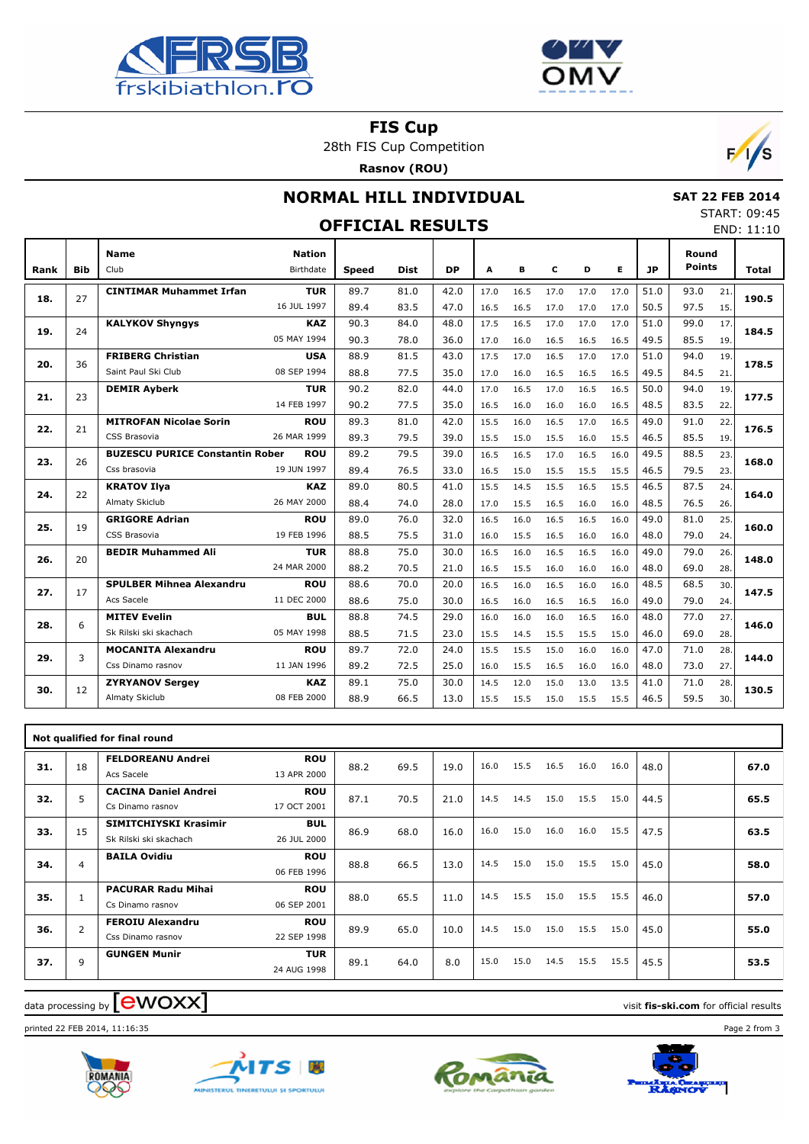



**FIS Cup**

28th FIS Cup Competition

**Rasnov (ROU)**



## **NORMAL HILL INDIVIDUAL**

 **SAT 22 FEB 2014** START: 09:45

|            |                                                 |                            |                                                       | JIANI . VJ.TJ<br><b>OFFICIAL RESULTS</b> |              |                      |                      |              |                      |                      |              |                        |                      |              |  |  |  |
|------------|-------------------------------------------------|----------------------------|-------------------------------------------------------|------------------------------------------|--------------|----------------------|----------------------|--------------|----------------------|----------------------|--------------|------------------------|----------------------|--------------|--|--|--|
| <b>Bib</b> | <b>Name</b><br>Club                             | <b>Nation</b><br>Birthdate | <b>Speed</b>                                          | <b>Dist</b>                              | <b>DP</b>    | A                    | в                    | c            | D                    | Е                    | <b>JP</b>    | Round<br><b>Points</b> |                      | <b>Total</b> |  |  |  |
| 27         | <b>CINTIMAR Muhammet Irfan</b>                  | <b>TUR</b>                 | 89.7                                                  | 81.0                                     | 42.0         | 17.0                 | 16.5                 | 17.0         | 17.0                 | 17.0                 | 51.0         | 93.0                   | 21.                  | 190.5        |  |  |  |
| 24         | <b>KALYKOV Shyngys</b>                          | <b>KAZ</b><br>05 MAY 1994  | 90.3                                                  | 84.0                                     | 48.0         | 17.5                 | 16.5                 | 17.0         | 17.0                 | 17.0                 | 51.0         | 99.0                   | 17.                  | 184.5        |  |  |  |
| 36         | <b>FRIBERG Christian</b><br>Saint Paul Ski Club | <b>USA</b><br>08 SEP 1994  | 88.9<br>88.8                                          | 81.5<br>77.5                             | 43.0         | 17.5                 | 17.0<br>16.0         | 16.5         | 17.0                 | 17.0<br>16.5         | 51.0         | 94.0                   | 19.<br>21.           | 178.5        |  |  |  |
| 23         | <b>DEMIR Ayberk</b>                             | TUR<br>14 FEB 1997         | 90.2<br>90.2                                          | 82.0<br>77.5                             | 44.0<br>35.0 | 17.0<br>16.5         | 16.5<br>16.0         | 17.0<br>16.0 | 16.5<br>16.0         | 16.5<br>16.5         | 50.0<br>48.5 | 94.0<br>83.5           | 19.<br>22.           | 177.5        |  |  |  |
| 21         | <b>MITROFAN Nicolae Sorin</b><br>CSS Brasovia   | <b>ROU</b><br>26 MAR 1999  | 89.3<br>89.3                                          | 81.0<br>79.5                             | 42.0<br>39.0 | 15.5<br>15.5         | 16.0<br>15.0         | 16.5<br>15.5 | 17.0<br>16.0         | 16.5<br>15.5         | 49.0<br>46.5 | 91.0<br>85.5           | 22.<br>19.           | 176.5        |  |  |  |
| 26         | Css brasovia                                    | <b>ROU</b><br>19 JUN 1997  | 89.2<br>89.4                                          | 79.5<br>76.5                             | 39.0<br>33.0 | 16.5<br>16.5         | 16.5<br>15.0         | 17.0<br>15.5 | 16.5<br>15.5         | 16.0<br>15.5         | 49.5<br>46.5 | 88.5<br>79.5           | 23.<br>23.           | 168.0        |  |  |  |
| 22         | <b>KRATOV Ilya</b><br>Almaty Skiclub            | <b>KAZ</b><br>26 MAY 2000  | 89.0<br>88.4                                          | 80.5<br>74.0                             | 41.0<br>28.0 | 15.5<br>17.0         | 14.5<br>15.5         | 15.5<br>16.5 | 16.5<br>16.0         | 15.5<br>16.0         | 46.5<br>48.5 | 87.5<br>76.5           | 24.<br>26.           | 164.0        |  |  |  |
| 19         | <b>GRIGORE Adrian</b><br>CSS Brasovia           | <b>ROU</b><br>19 FEB 1996  | 89.0<br>88.5                                          | 76.0<br>75.5                             | 32.0<br>31.0 | 16.5<br>16.0         | 16.0<br>15.5         | 16.5<br>16.5 | 16.5<br>16.0         | 16.0<br>16.0         | 49.0<br>48.0 | 81.0<br>79.0           | 25.<br>24.           | 160.0        |  |  |  |
| 20         | <b>BEDIR Muhammed Ali</b>                       | <b>TUR</b><br>24 MAR 2000  | 88.8<br>88.2                                          | 75.0<br>70.5                             | 30.0<br>21.0 | 16.5<br>16.5         | 16.0<br>15.5         | 16.5<br>16.0 | 16.5<br>16.0         | 16.0<br>16.0         | 49.0<br>48.0 | 79.0<br>69.0           | 26.<br>28.           | 148.0        |  |  |  |
| 17         | <b>SPULBER Mihnea Alexandru</b><br>Acs Sacele   | <b>ROU</b><br>11 DEC 2000  | 88.6<br>88.6                                          | 70.0<br>75.0                             | 20.0<br>30.0 | 16.5<br>16.5         | 16.0<br>16.0         | 16.5<br>16.5 | 16.0<br>16.5         | 16.0<br>16.0         | 48.5<br>49.0 | 68.5<br>79.0           | 30.<br>24.           | 147.5        |  |  |  |
| 6          | <b>MITEV Evelin</b><br>Sk Rilski ski skachach   | BUL<br>05 MAY 1998         | 88.8<br>88.5                                          | 74.5<br>71.5                             | 29.0<br>23.0 | 16.0<br>15.5         | 16.0<br>14.5         | 16.0<br>15.5 | 16.5<br>15.5         | 16.0<br>15.0         | 48.0<br>46.0 | 77.0<br>69.0           | 27.<br>28.           | 146.0        |  |  |  |
| 3          | <b>MOCANITA Alexandru</b><br>Css Dinamo rasnov  | <b>ROU</b><br>11 JAN 1996  | 89.7<br>89.2                                          | 72.0<br>72.5                             | 24.0<br>25.0 | 15.5<br>16.0         | 15.5<br>15.5         | 15.0<br>16.5 | 16.0<br>16.0         | 16.0<br>16.0         | 47.0<br>48.0 | 71.0<br>73.0           | 28.<br>27.           | 144.0        |  |  |  |
| 12         | <b>ZYRYANOV Sergey</b><br>Almaty Skiclub        | <b>KAZ</b><br>08 FEB 2000  | 89.1<br>88.9                                          | 75.0<br>66.5                             | 30.0<br>13.0 | 14.5<br>15.5         | 12.0<br>15.5         | 15.0<br>15.0 | 13.0<br>15.5         | 13.5<br>15.5         | 41.0<br>46.5 | 71.0<br>59.5           | 28.<br>30.           | 130.5        |  |  |  |
|            |                                                 |                            | 16 JUL 1997<br><b>BUZESCU PURICE Constantin Rober</b> | 89.4<br>90.3                             | 83.5<br>78.0 | 47.0<br>36.0<br>35.0 | 16.5<br>17.0<br>17.0 | 16.5<br>16.0 | 17.0<br>16.5<br>16.5 | 17.0<br>16.5<br>16.5 | 17.0<br>16.5 | 50.5<br>49.5<br>49.5   | 97.5<br>85.5<br>84.5 | 15.<br>19.   |  |  |  |

|     | Not qualified for final round |                                                 |                           |      |      |      |      |      |      |      |      |      |  |      |
|-----|-------------------------------|-------------------------------------------------|---------------------------|------|------|------|------|------|------|------|------|------|--|------|
| 31. | 18                            | <b>FELDOREANU Andrei</b><br>Acs Sacele          | <b>ROU</b><br>13 APR 2000 | 88.2 | 69.5 | 19.0 | 16.0 | 15.5 | 16.5 | 16.0 | 16.0 | 48.0 |  | 67.0 |
| 32. | 5                             | <b>CACINA Daniel Andrei</b><br>Cs Dinamo rasnov | <b>ROU</b><br>17 OCT 2001 | 87.1 | 70.5 | 21.0 | 14.5 | 14.5 | 15.0 | 15.5 | 15.0 | 44.5 |  | 65.5 |
| 33. | 15                            | SIMITCHIYSKI Krasimir<br>Sk Rilski ski skachach | <b>BUL</b><br>26 JUL 2000 | 86.9 | 68.0 | 16.0 | 16.0 | 15.0 | 16.0 | 16.0 | 15.5 | 47.5 |  | 63.5 |
| 34. | 4                             | <b>BAILA Ovidiu</b>                             | <b>ROU</b><br>06 FEB 1996 | 88.8 | 66.5 | 13.0 | 14.5 | 15.0 | 15.0 | 15.5 | 15.0 | 45.0 |  | 58.0 |
| 35. |                               | <b>PACURAR Radu Mihai</b><br>Cs Dinamo rasnov   | <b>ROU</b><br>06 SEP 2001 | 88.0 | 65.5 | 11.0 | 14.5 | 15.5 | 15.0 | 15.5 | 15.5 | 46.0 |  | 57.0 |
| 36. | $\overline{2}$                | <b>FEROIU Alexandru</b><br>Css Dinamo rasnov    | <b>ROU</b><br>22 SEP 1998 | 89.9 | 65.0 | 10.0 | 14.5 | 15.0 | 15.0 | 15.5 | 15.0 | 45.0 |  | 55.0 |
| 37. | 9                             | <b>GUNGEN Munir</b>                             | <b>TUR</b><br>24 AUG 1998 | 89.1 | 64.0 | 8.0  | 15.0 | 15.0 | 14.5 | 15.5 | 15.5 | 45.5 |  | 53.5 |

#### $\alpha$  data processing by  $\boxed{\text{ewOX}}$

printed 22 FEB 2014, 11:16:35 Page 2 from 3